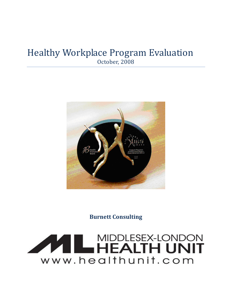### Healthy Workplace Program Evaluation October, 2008



**Burnett Consulting** 

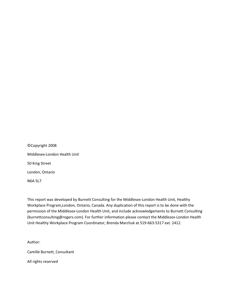©Copyright 2008 Middlesex-London Health Unit 50 King Street London, Ontario N6A 5L7

This report was developed by Burnett Consulting for the Middlesex-London Health Unit, Healthy Workplace Program,London, Ontario, Canada. Any duplication of this report is to be done with the permission of the Middlesex-London Health Unit, and include acknowledgements to Burnett Consulting (burnettconsulting@rogers.com). For further information please contact the Middlesex-London Health Unit Healthy Workplace Program Coordinator, Brenda Marchuk at 519-663-5317 ext. 2412.

Author:

Camille Burnett, Consultant

All rights reserved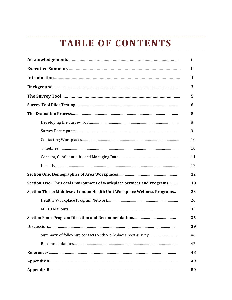## **TABLE OF CONTENTS**

|                                                                         | i  |
|-------------------------------------------------------------------------|----|
|                                                                         | ii |
|                                                                         | 1  |
|                                                                         | 3  |
|                                                                         | 5  |
|                                                                         | 6  |
|                                                                         | 8  |
|                                                                         | 8  |
|                                                                         | 9  |
|                                                                         | 10 |
|                                                                         | 10 |
|                                                                         | 11 |
|                                                                         | 12 |
|                                                                         | 12 |
| Section Two: The Local Environment of Workplace Services and Programs   | 18 |
| Section Three: Middlesex-London Health Unit Workplace Wellness Programs | 23 |
|                                                                         | 26 |
|                                                                         | 32 |
|                                                                         | 35 |
|                                                                         | 39 |
| Summary of follow-up contacts with workplaces post-survey               | 46 |
|                                                                         | 47 |
|                                                                         | 48 |
|                                                                         | 49 |
|                                                                         | 50 |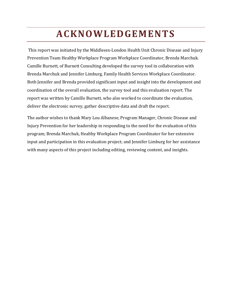### **ACKNOWLEDGEMENTS**

 This report was initiated by the Middlesex-London Health Unit Chronic Disease and Injury Prevention Team Healthy Workplace Program Workplace Coordinator, Brenda Marchuk. Camille Burnett, of Burnett Consulting developed the survey tool in collaboration with Brenda Marchuk and Jennifer Limburg, Family Health Services Workplace Coordinator. Both Jennifer and Brenda provided significant input and insight into the development and coordination of the overall evaluation, the survey tool and this evaluation report. The report was written by Camille Burnett, who also worked to coordinate the evaluation, deliver the electronic survey, gather descriptive data and draft the report.

The author wishes to thank Mary Lou Albanese, Program Manager, Chronic Disease and Injury Prevention for her leadership in responding to the need for the evaluation of this program; Brenda Marchuk, Healthy Workplace Program Coordinator for her extensive input and participation in this evaluation project; and Jennifer Limburg for her assistance with many aspects of this project including editing, reviewing content, and insights.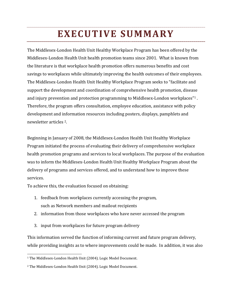### **EXECUTIVE SUMMARY**

The Middlesex-London Health Unit Healthy Workplace Program has been offered by the Middlesex-London Health Unit health promotion teams since 2001. What is known from the literature is that workplace health promotion offers numerous benefits and cost savings to workplaces while ultimately improving the health outcomes of their employees. The Middlesex-London Health Unit Healthy Workplace Program seeks to "facilitate and support the development and coordination of comprehensive health promotion, disease and injury prevention and protection programming to Middlesex-London workplaces"1 . Therefore, the program offers consultation, employee education, assistance with policy development and information resources including posters, displays, pamphlets and newsletter articles 2.

Beginning in January of 2008, the Middlesex-London Health Unit Healthy Workplace Program initiated the process of evaluating their delivery of comprehensive workplace health promotion programs and services to local workplaces. The purpose of the evaluation was to inform the Middlesex-London Health Unit Healthy Workplace Program about the delivery of programs and services offered, and to understand how to improve these services.

To achieve this, the evaluation focused on obtaining:

- 1. feedback from workplaces currently accessing the program, such as Network members and mailout recipients
- 2. information from those workplaces who have never accessed the program
- 3. input from workplaces for future program delivery

This information served the function of informing current and future program delivery, while providing insights as to where improvements could be made. In addition, it was also

 $\overline{\phantom{a}}$ 1 The Middlesex-London Health Unit (2004). Logic Model Document.

<sup>2</sup> The Middlesex-London Health Unit (2004). Logic Model Document.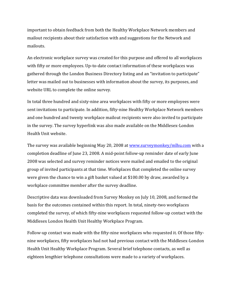important to obtain feedback from both the Healthy Workplace Network members and mailout recipients about their satisfaction with and suggestions for the Network and mailouts.

An electronic workplace survey was created for this purpose and offered to all workplaces with fifty or more employees. Up-to-date contact information of these workplaces was gathered through the London Business Directory listing and an "invitation to participate" letter was mailed out to businesses with information about the survey, its purposes, and website URL to complete the online survey.

In total three hundred and sixty-nine area workplaces with fifty or more employees were sent invitations to participate. In addition, fifty-nine Healthy Workplace Network members and one hundred and twenty workplace mailout recipients were also invited to participate in the survey. The survey hyperlink was also made available on the Middlesex-London Health Unit website.

The survey was available beginning May 20, 2008 at www.surveymonkey/mlhu.com with a completion deadline of June 23, 2008. A mid-point follow-up reminder date of early June 2008 was selected and survey reminder notices were mailed and emailed to the original group of invited participants at that time. Workplaces that completed the online survey were given the chance to win a gift basket valued at \$100.00 by draw, awarded by a workplace committee member after the survey deadline.

Descriptive data was downloaded from Survey Monkey on July 10, 2008, and formed the basis for the outcomes contained within this report. In total, ninety-two workplaces completed the survey, of which fifty-nine workplaces requested follow-up contact with the Middlesex London Health Unit Healthy Workplace Program.

Follow-up contact was made with the fifty-nine workplaces who requested it. Of those fiftynine workplaces, fifty workplaces had not had previous contact with the Middlesex-London Health Unit Healthy Workplace Program. Several brief telephone contacts, as well as eighteen lengthier telephone consultations were made to a variety of workplaces.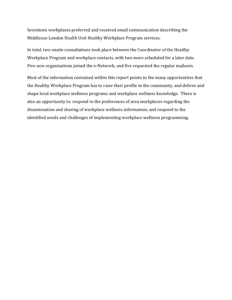Seventeen workplaces preferred and received email communication describing the Middlesex-London Health Unit Healthy Workplace Program services.

In total, two onsite consultations took place between the Coordinator of the Healthy Workplace Program and workplace contacts, with two more scheduled for a later date. Five new organizations joined the e-Network, and five requested the regular mailouts.

Most of the information contained within this report points to the many opportunities that the Healthy Workplace Program has to raise their profile in the community, and deliver and shape local workplace wellness programs and workplace wellness knowledge. There is also an opportunity to: respond to the preferences of area workplaces regarding the dissemination and sharing of workplace wellness information; and respond to the identified needs and challenges of implementing workplace wellness programming.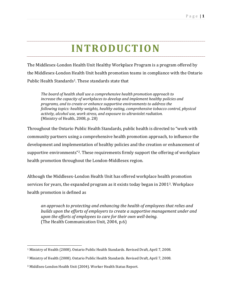## **INTRODUCTION**

The Middlesex-London Health Unit Healthy Workplace Program is a program offered by the Middlesex-London Health Unit health promotion teams in compliance with the Ontario Public Health Standards<sup>1</sup>. These standards state that

*The board of health shall use a comprehensive health promotion approach to increase the capacity of workplaces to develop and implement healthy policies and programs, and to create or enhance supportive environments to address the following topics: healthy weights, healthy eating, comprehensive tobacco control, physical activity, alcohol use, work stress, and exposure to ultraviolet radiation.*  (Ministry of Health, 2008, p. 28)

Throughout the Ontario Public Health Standards, public health is directed to "work with community partners using a comprehensive health promotion approach, to influence the development and implementation of healthy policies and the creation or enhancement of supportive environments"2. These requirements firmly support the offering of workplace health promotion throughout the London-Middlesex region.

Although the Middlesex-London Health Unit has offered workplace health promotion services for years, the expanded program as it exists today began in 20013. Workplace health promotion is defined as

*an approach to protecting and enhancing the health of employees that relies and builds upon the efforts of employers to create a supportive management under and upon the efforts of employees to care for their own well-being.*  (The Health Communication Unit, 2004, p.6)

l 1 Ministry of Health (2008). Ontario Public Health Standards. Revised Draft, April 7, 2008.

<sup>2</sup> Ministry of Health (2008). Ontario Public Health Standards. Revised Draft, April 7, 2008.

<sup>3</sup> Middlsex-London Health Unit (2004). Worker Health Status Report.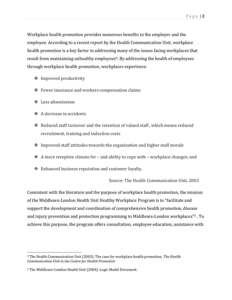Workplace health promotion provides numerous benefits to the employer and the employee. According to a recent report by the Health Communication Unit, workplace health promotion is a key factor in addressing many of the issues facing workplaces that result from maintaining unhealthy employees<sup>4</sup>. By addressing the health of employees through workplace health promotion, workplaces experience:

- Improved productivity
- Fewer insurance and workers compensation claims
- Less absenteeism
- A decrease in accidents
- Reduced staff turnover and the retention of valued staff , which means reduced recruitment, training and induction costs
- Improved staff attitudes towards the organization and higher staff morale
- A more receptive climate for and ability to cope with workplace changes; and
- Enhanced business reputation and customer loyalty.

Source: The Health Communication Unit, 2003

Consistent with the literature and the purpose of workplace health promotion, the mission of the Middlesex-London Health Unit Healthy Workplace Program is to "facilitate and support the development and coordination of comprehensive health promotion, disease and injury prevention and protection programming to Middlesex-London workplaces"5 . To achieve this purpose, the program offers consultation, employee education, assistance with

l 4 The Health Communication Unit (2003). The case for workplace health promotion. *The Health Communication Unit in the Centre for Health Promotion*

<sup>5</sup> The Middlesex-London Health Unit (2004). Logic Model Document.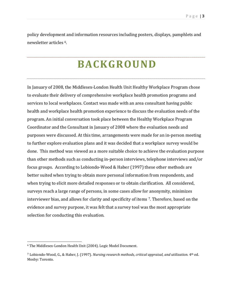policy development and information resources including posters, displays, pamphlets and newsletter articles 6.

### **BACKGROUND**

In January of 2008, the Middlesex-London Health Unit Healthy Workplace Program chose to evaluate their delivery of comprehensive workplace health promotion programs and services to local workplaces. Contact was made with an area consultant having public health and workplace health promotion experience to discuss the evaluation needs of the program. An initial conversation took place between the Healthy Workplace Program Coordinator and the Consultant in January of 2008 where the evaluation needs and purposes were discussed. At this time, arrangements were made for an in-person meeting to further explore evaluation plans and it was decided that a workplace survey would be done. This method was viewed as a more suitable choice to achieve the evaluation purpose than other methods such as conducting in-person interviews, telephone interviews and/or focus groups. According to Lobiondo-Wood & Haber (1997) these other methods are better suited when trying to obtain more personal information from respondents, and when trying to elicit more detailed responses or to obtain clarification. All considered, surveys reach a large range of persons, in some cases allow for anonymity, minimizes interviewer bias, and allows for clarity and specificity of items 7. Therefore, based on the evidence and survey purpose, it was felt that a survey tool was the most appropriate selection for conducting this evaluation.

l

<sup>6</sup> The Middlesex-London Health Unit (2004). Logic Model Document.

<sup>7</sup> Lobiondo-Wood, G., & Haber, J. (1997). *Nursing research methods, critical appraisal, and utilization.* 4th ed. Mosby: Toronto.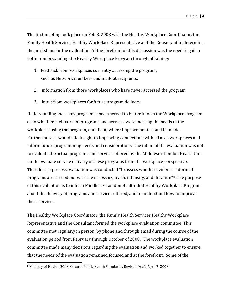The first meeting took place on Feb 8, 2008 with the Healthy Workplace Coordinator, the Family Health Services Healthy Workplace Representative and the Consultant to determine the next steps for the evaluation. At the forefront of this discussion was the need to gain a better understanding the Healthy Workplace Program through obtaining:

- 1. feedback from workplaces currently accessing the program, such as Network members and mailout recipients.
- 2. information from those workplaces who have never accessed the program
- 3. input from workplaces for future program delivery

Understanding these key program aspects served to better inform the Workplace Program as to whether their current programs and services were meeting the needs of the workplaces using the program, and if not, where improvements could be made. Furthermore, it would add insight to improving connections with all area workplaces and inform future programming needs and considerations. The intent of the evaluation was not to evaluate the actual programs and services offered by the Middlesex-London Health Unit but to evaluate service delivery of these programs from the workplace perspective. Therefore, a process evaluation was conducted "to assess whether evidence-informed programs are carried out with the necessary reach, intensity, and duration"8. The purpose of this evaluation is to inform Middlesex-London Health Unit Healthy Workplace Program about the delivery of programs and services offered, and to understand how to improve these services.

The Healthy Workplace Coordinator, the Family Health Services Healthy Workplace Representative and the Consultant formed the workplace evaluation committee. This committee met regularly in person, by phone and through email during the course of the evaluation period from February through October of 2008. The workplace evaluation committee made many decisions regarding the evaluation and worked together to ensure that the needs of the evaluation remained focused and at the forefront. Some of the

l 8 Ministry of Health, 2008. Ontario Public Health Standards. Revised Draft, April 7, 2008.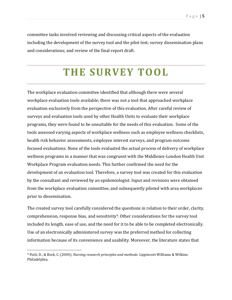committee tasks involved reviewing and discussing critical aspects of the evaluation including the development of the survey tool and the pilot test; survey dissemination plans and considerations; and review of the final report draft.

## **THE SURVEY TOOL**

The workplace evaluation committee identified that although there were several workplace evaluation tools available; there was not a tool that approached workplace evaluation exclusively from the perspective of this evaluation. After careful review of surveys and evaluation tools used by other Health Units to evaluate their workplace programs, they were found to be unsuitable for the needs of this evaluation. Some of the tools assessed varying aspects of workplace wellness such as employee wellness checklists, health risk behavior assessments, employee interest surveys, and program outcome focused evaluations. None of the tools evaluated the actual process of delivery of workplace wellness programs in a manner that was congruent with the Middlesex-London Health Unit Workplace Program evaluation needs. This further confirmed the need for the development of an evaluation tool. Therefore, a survey tool was created for this evaluation by the consultant and reviewed by an epidemiologist. Input and revisions were obtained from the workplace evaluation committee, and subsequently piloted with area workplaces prior to dissemination.

The created survey tool carefully considered the questions in relation to their order, clarity, comprehension, response bias, and sensitivity<sup>9</sup>. Other considerations for the survey tool included its length, ease of use, and the need for it to be able to be completed electronically. Use of an electronically administered survey was the preferred method for collecting information because of its convenience and usability. Moreover, the literature states that

 $\overline{\phantom{a}}$ 

<sup>9</sup> Polit, D., & Beck, C. (2004). *Nursing research principles and methods.* Lippincott Williams & Wilkins: Philadelphia.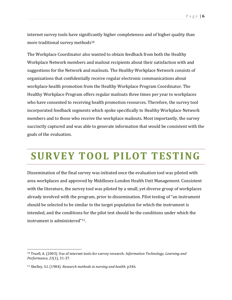internet survey tools have significantly higher completeness and of higher quality than more traditional survey methods<sup>10</sup>

The Workplace Coordinator also wanted to obtain feedback from both the Healthy Workplace Network members and mailout recipients about their satisfaction with and suggestions for the Network and mailouts. The Healthy Workplace Network consists of organizations that confidentially receive regular electronic communications about workplace health promotion from the Healthy Workplace Program Coordinator. The Healthy Workplace Program offers regular mailouts three times per year to workplaces who have consented to receiving health promotion resources. Therefore, the survey tool incorporated feedback segments which spoke specifically to Healthy Workplace Network members and to those who receive the workplace mailouts. Most importantly, the survey succinctly captured and was able to generate information that would be consistent with the goals of the evaluation.

## **SURVEY TOOL PILOT TESTING**

Dissemination of the final survey was initiated once the evaluation tool was piloted with area workplaces and approved by Middlesex-London Health Unit Management. Consistent with the literature, the survey tool was piloted by a small, yet diverse group of workplaces already involved with the program, prior to dissemination. Pilot testing of "an instrument should be selected to be similar to the target population for which the instrument is intended, and the conditions for the pilot test should be the conditions under which the instrument is administered"11.

 $\overline{\phantom{a}}$ 

<sup>10</sup> Truell, A. (2003). Use of internet tools for survey research. *Information Technology, Learning and Performance, 21*(1), 31-37.

<sup>11</sup> Shelley, S.I. (1984). *Research methods in nursing and health.* p346.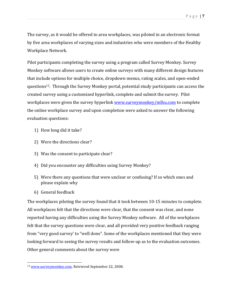The survey, as it would be offered to area workplaces, was piloted in an electronic format by five area workplaces of varying sizes and industries who were members of the Healthy Workplace Network.

Pilot participants completing the survey using a program called Survey Monkey. Survey Monkey software allows users to create online surveys with many different design features that include options for multiple choice, dropdown menus, rating scales, and open-ended questions12. Through the Survey Monkey portal, potential study participants can access the created survey using a customized hyperlink, complete and submit the survey. Pilot workplaces were given the survey hyperlink www.surveymonkey/mlhu.com to complete the online workplace survey and upon completion were asked to answer the following evaluation questions:

- 1) How long did it take?
- 2) Were the directions clear?
- 3) Was the consent to participate clear?
- 4) Did you encounter any difficulties using Survey Monkey?
- 5) Were there any questions that were unclear or confusing? If so which ones and please explain why
- 6) General feedback

l

The workplaces piloting the survey found that it took between 10-15 minutes to complete. All workplaces felt that the directions were clear, that the consent was clear, and none reported having any difficulties using the Survey Monkey software. All of the workplaces felt that the survey questions were clear, and all provided very positive feedback ranging from "very good survey' to "well done". Some of the workplaces mentioned that they were looking forward to seeing the survey results and follow-up as to the evaluation outcomes. Other general comments about the survey were

<sup>&</sup>lt;sup>12</sup> www.surveymonkey.com. Retrieved September 22, 2008.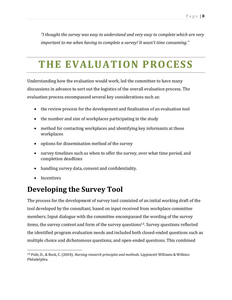*"I thought the survey was easy to understand and very easy to complete which are very important to me when having to complete a survey! It wasn't time consuming."* 

### **THE EVALUATION PROCESS**

Understanding how the evaluation would work, led the committee to have many discussions in advance to sort out the logistics of the overall evaluation process. The evaluation process encompassed several key considerations such as:

- the review process for the development and finalization of an evaluation tool
- the number and size of workplaces participating in the study
- method for contacting workplaces and identifying key informants at those workplaces
- options for dissemination method of the survey
- survey timelines such as when to offer the survey, over what time period, and completion deadlines
- handling survey data, consent and confidentiality.
- -Incentives

 $\overline{\phantom{a}}$ 

### **Developing the Survey Tool**

The process for the development of survey tool consisted of an initial working draft of the tool developed by the consultant, based on input received from workplace committee members. Input dialogue with the committee encompassed the wording of the survey items, the survey content and form of the survey questions<sup>13</sup>. Survey questions reflected the identified program evaluation needs and included both closed-ended questions such as multiple choice and dichotomous questions, and open-ended questions. This combined

<sup>13</sup> Polit, D., & Beck, C. (2004). *Nursing research principles and methods.* Lippincott Williams & Wilkins: Philadelphia.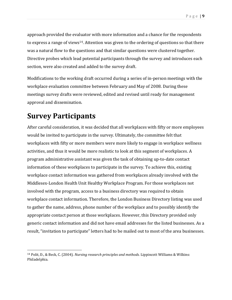approach provided the evaluator with more information and a chance for the respondents to express a range of views<sup>14</sup>. Attention was given to the ordering of questions so that there was a natural flow to the questions and that similar questions were clustered together. Directive probes which lead potential participants through the survey and introduces each section, were also created and added to the survey draft.

Modifications to the working draft occurred during a series of in-person meetings with the workplace evaluation committee between February and May of 2008. During these meetings survey drafts were reviewed, edited and revised until ready for management approval and dissemination.

### **Survey Participants**

 $\overline{\phantom{a}}$ 

After careful consideration, it was decided that all workplaces with fifty or more employees would be invited to participate in the survey. Ultimately, the committee felt that workplaces with fifty or more members were more likely to engage in workplace wellness activities, and thus it would be more realistic to look at this segment of workplaces. A program administrative assistant was given the task of obtaining up-to-date contact information of these workplaces to participate in the survey. To achieve this, existing workplace contact information was gathered from workplaces already involved with the Middlesex-London Health Unit Healthy Workplace Program. For those workplaces not involved with the program, access to a business directory was required to obtain workplace contact information. Therefore, the London Business Directory listing was used to gather the name, address, phone number of the workplace and to possibly identify the appropriate contact person at those workplaces. However, this Directory provided only generic contact information and did not have email addresses for the listed businesses. As a result, "invitation to participate" letters had to be mailed out to most of the area businesses.

<sup>14</sup> Polit, D., & Beck, C. (2004). *Nursing research principles and methods.* Lippincott Williams & Wilkins: Philadelphia.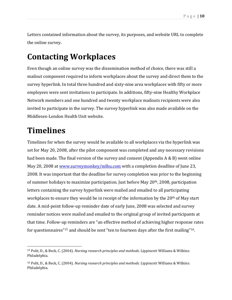Letters contained information about the survey, its purposes, and website URL to complete the online survey.

### **Contacting Workplaces**

Even though an online survey was the dissemination method of choice, there was still a mailout component required to inform workplaces about the survey and direct them to the survey hyperlink. In total three hundred and sixty-nine area workplaces with fifty or more employees were sent invitations to participate. In additions, fifty-nine Healthy Workplace Network members and one hundred and twenty workplace mailouts recipients were also invited to participate in the survey. The survey hyperlink was also made available on the Middlesex-London Health Unit website.

### **Timelines**

l

Timelines for when the survey would be available to all workplaces via the hyperlink was set for May 20, 2008, after the pilot component was completed and any necessary revisions had been made. The final version of the survey and consent (Appendix A & B) went online May 20, 2008 at www.surveymonkey/mlhu.com with a completion deadline of June 23, 2008. It was important that the deadline for survey completion was prior to the beginning of summer holidays to maximize participation. Just before May 20th, 2008, participation letters containing the survey hyperlink were mailed and emailed to all participating workplaces to ensure they would be in receipt of the information by the 20<sup>th</sup> of May start date. A mid-point follow-up reminder date of early June, 2008 was selected and survey reminder notices were mailed and emailed to the original group of invited participants at that time. Follow-up reminders are "an effective method of achieving higher response rates for questionnaires"<sup>15</sup> and should be sent "ten to fourteen days after the first mailing"<sup>16</sup>.

<sup>15</sup> Polit, D., & Beck, C. (2004). *Nursing research principles and methods.* Lippincott Williams & Wilkins: Philadelphia.

<sup>16</sup> Polit, D., & Beck, C. (2004). *Nursing research principles and methods.* Lippincott Williams & Wilkins: Philadelphia.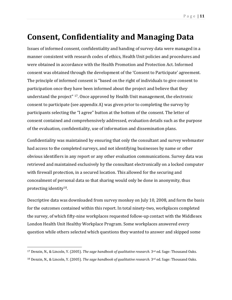### **Consent, Confidentiality and Managing Data**

Issues of informed consent, confidentiality and handing of survey data were managed in a manner consistent with research codes of ethics, Health Unit policies and procedures and were obtained in accordance with the Health Promotion and Protection Act. Informed consent was obtained through the development of the 'Consent to Participate' agreement. The principle of informed consent is "based on the right of individuals to give consent to participation once they have been informed about the project and believe that they understand the project" 17. Once approved by Health Unit management, the electronic consent to participate (see appendix A) was given prior to completing the survey by participants selecting the "I agree" button at the bottom of the consent. The letter of consent contained and comprehensively addressed, evaluation details such as the purpose of the evaluation, confidentiality, use of information and dissemination plans.

Confidentiality was maintained by ensuring that only the consultant and survey webmaster had access to the completed surveys, and not identifying businesses by name or other obvious identifiers in any report or any other evaluation communications. Survey data was retrieved and maintained exclusively by the consultant electronically on a locked computer with firewall protection, in a secured location. This allowed for the securing and concealment of personal data so that sharing would only be done in anonymity, thus protecting identity18.

Descriptive data was downloaded from survey monkey on July 10, 2008, and form the basis for the outcomes contained within this report. In total ninety-two, workplaces completed the survey, of which fifty-nine workplaces requested follow-up contact with the Middlesex London Health Unit Healthy Workplace Program. Some workplaces answered every question while others selected which questions they wanted to answer and skipped some

 $\overline{\phantom{a}}$ 

<sup>&</sup>lt;sup>17</sup> Denzin, N., & Lincoln, Y. (2005). *The sage handbook of qualitative research*. 3<sup>rd</sup> ed. Sage: Thousand Oaks. <sup>18</sup> Denzin, N., & Lincoln, Y. (2005). *The sage handbook of qualitative research.* 3rd ed. Sage: Thousand Oaks.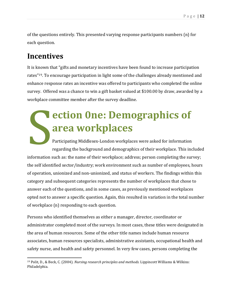of the questions entirely. This presented varying response participants numbers (n) for each question.

### **Incentives**

It is known that "gifts and monetary incentives have been found to increase participation rates"19. To encourage participation in light some of the challenges already mentioned and enhance response rates an incentive was offered to participants who completed the online survey. Offered was a chance to win a gift basket valued at \$100.00 by draw, awarded by a workplace committee member after the survey deadline.

# **ection 0ne: Demographics of area workplaces**  ec ar

Participating Middlesex-London workplaces were asked for information regarding the background and demographics of their workplace. This included information such as: the name of their workplace; address; person completing the survey; the self identified sector/industry; work environment such as number of employees, hours of operation, unionized and non-unionized, and status of workers. The findings within this category and subsequent categories represents the number of workplaces that chose to answer each of the questions, and in some cases, as previously mentioned workplaces opted not to answer a specific question. Again, this resulted in variation in the total number of workplace (n) responding to each question.

Persons who identified themselves as either a manager, director, coordinator or administrator completed most of the surveys. In most cases, these titles were designated in the area of human resources. Some of the other title names include human resource associates, human resources specialists, administrative assistants, occupational health and safety nurse, and health and safety personnel. In very few cases, persons completing the

l 19 Polit, D., & Beck, C. (2004). *Nursing research principles and methods.* Lippincott Williams & Wilkins: Philadelphia.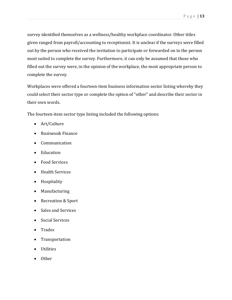survey identified themselves as a wellness/healthy workplace coordinator. Other titles given ranged from payroll/accounting to receptionist. It is unclear if the surveys were filled out by the person who received the invitation to participate or forwarded on to the person most suited to complete the survey. Furthermore, it can only be assumed that those who filled out the survey were, in the opinion of the workplace, the most appropriate person to complete the survey.

Workplaces were offered a fourteen-item business information sector listing whereby they could select their sector type or complete the option of "other" and describe their sector in their own words.

The fourteen-item sector type listing included the following options:

- Art/Culture
- Business& Finance
- Communication
- Education
- Food Services
- Health Services
- Hospitality
- Manufacturing
- Recreation & Sport
- Sales and Services
- Social Services
- -Trades
- Transportation
- -Utilities
- Other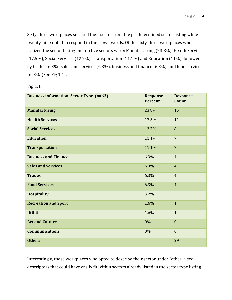Sixty-three workplaces selected their sector from the predetermined sector listing while twenty-nine opted to respond in their own words. Of the sixty-three workplaces who utilized the sector listing the top five sectors were: Manufacturing (23.8%), Health Services (17.5%), Social Services (12.7%), Transportation (11.1%) and Education (11%), followed by trades (6.3%) sales and services (6.3%), business and finance (6.3%), and food services (6. 3%)(See Fig 1.1).

| <b>Business information: Sector Type (n=63)</b> | <b>Response</b><br><b>Percent</b> | <b>Response</b><br><b>Count</b> |
|-------------------------------------------------|-----------------------------------|---------------------------------|
| <b>Manufacturing</b>                            | 23.8%                             | 15                              |
| <b>Health Services</b>                          | 17.5%                             | 11                              |
| <b>Social Services</b>                          | 12.7%                             | 8                               |
| <b>Education</b>                                | 11.1%                             | $\overline{7}$                  |
| <b>Transportation</b>                           | 11.1%                             | $\overline{7}$                  |
| <b>Business and Finance</b>                     | 6.3%                              | $\overline{4}$                  |
| <b>Sales and Services</b>                       | 6.3%                              | $\overline{4}$                  |
| <b>Trades</b>                                   | 6.3%                              | $\overline{4}$                  |
| <b>Food Services</b>                            | 6.3%                              | $\overline{4}$                  |
| <b>Hospitality</b>                              | 3.2%                              | $\overline{2}$                  |
| <b>Recreation and Sport</b>                     | 1.6%                              | $\mathbf{1}$                    |
| <b>Utilities</b>                                | 1.6%                              | $\mathbf{1}$                    |
| <b>Art and Culture</b>                          | 0%                                | $\mathbf{0}$                    |
| <b>Communications</b>                           | $0\%$                             | $\mathbf{0}$                    |
| <b>Others</b>                                   |                                   | 29                              |

#### **Fig 1.1**

Interestingly, those workplaces who opted to describe their sector under "other" used descriptors that could have easily fit within sectors already listed in the sector type listing.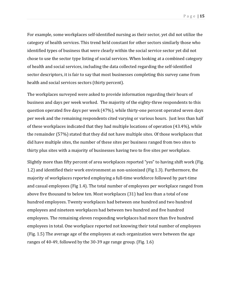For example, some workplaces self-identified nursing as their sector, yet did not utilize the category of health services. This trend held constant for other sectors similarly those who identified types of business that were clearly within the social service sector yet did not chose to use the sector type listing of social services. When looking at a combined category of health and social services, including the data collected regarding the self-identified sector descriptors, it is fair to say that most businesses completing this survey came from health and social services sectors (thirty percent).

The workplaces surveyed were asked to provide information regarding their hours of business and days per week worked. The majority of the eighty-three respondents to this question operated five days per week (47%), while thirty-one percent operated seven days per week and the remaining respondents cited varying or various hours. Just less than half of these workplaces indicated that they had multiple locations of operation (43.4%), while the remainder (57%) stated that they did not have multiple sites. Of those workplaces that did have multiple sites, the number of these sites per business ranged from two sites to thirty plus sites with a majority of businesses having two to five sites per workplace.

Slightly more than fifty percent of area workplaces reported "yes" to having shift work (Fig. 1.2) and identified their work environment as non-unionized (Fig 1.3). Furthermore, the majority of workplaces reported employing a full-time workforce followed by part-time and casual employees (Fig 1.4). The total number of employees per workplace ranged from above five thousand to below ten. Most workplaces (31) had less than a total of one hundred employees. Twenty workplaces had between one hundred and two hundred employees and nineteen workplaces had between two hundred and five hundred employees. The remaining eleven responding workplaces had more than five hundred employees in total. One workplace reported not knowing their total number of employees (Fig. 1.5) The average age of the employees at each organization were between the age ranges of 40-49, followed by the 30-39 age range group. (Fig. 1.6)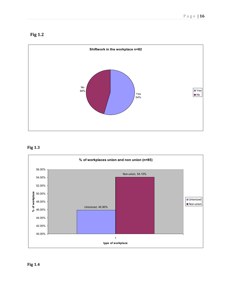



#### **Fig 1.3**

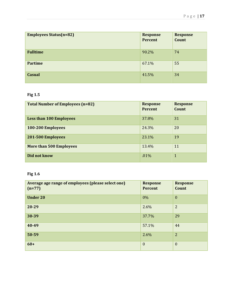| <b>Employees Status(n=82)</b> | <b>Response</b><br>Percent | <b>Response</b><br>Count |
|-------------------------------|----------------------------|--------------------------|
| <b>Fulltime</b>               | 90.2%                      | 74                       |
| <b>Partime</b>                | 67.1%                      | 55                       |
| <b>Casual</b>                 | 41.5%                      | 34                       |

#### **Fig 1.5**

| <b>Total Number of Employees (n=82)</b> | <b>Response</b><br><b>Percent</b> | <b>Response</b><br>Count |
|-----------------------------------------|-----------------------------------|--------------------------|
| <b>Less than 100 Employees</b>          | 37.8%                             | 31                       |
| 100-200 Employees                       | 24.3%                             | 20                       |
| 201-500 Employees                       | 23.1%                             | 19                       |
| <b>More than 500 Employees</b>          | 13.4%                             | 11                       |
| Did not know                            | .01%                              | $\mathbf{1}$             |

#### **Fig 1.6**

| Average age range of employees (please select one)<br>$(n=77)$ | <b>Response</b><br>Percent | <b>Response</b><br>Count |
|----------------------------------------------------------------|----------------------------|--------------------------|
| <b>Under 20</b>                                                | $0\%$                      | $\mathbf{0}$             |
| 20-29                                                          | 2.6%                       | $\overline{2}$           |
| 30-39                                                          | 37.7%                      | 29                       |
| 40-49                                                          | 57.1%                      | 44                       |
| 50-59                                                          | 2.6%                       | $\overline{2}$           |
| $60+$                                                          | $\mathbf{0}$               | $\mathbf{0}$             |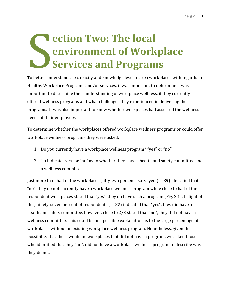## **ection Two: The local environment of Workplace Services and Programs**  ec

To better understand the capacity and knowledge level of area workplaces with regards to Healthy Workplace Programs and/or services, it was important to determine it was important to determine their understanding of workplace wellness, if they currently offered wellness programs and what challenges they experienced in delivering these programs. It was also important to know whether workplaces had assessed the wellness needs of their employees.

To determine whether the workplaces offered workplace wellness programs or could offer workplace wellness programs they were asked:

- 1. Do you currently have a workplace wellness program? "yes" or "no"
- 2. To indicate "yes" or "no" as to whether they have a health and safety committee and a wellness committee

Just more than half of the workplaces (fifty-two percent) surveyed (n=89) identified that "no", they do not currently have a workplace wellness program while close to half of the respondent workplaces stated that "yes", they do have such a program (Fig. 2.1). In light of this, ninety-seven percent of respondents (n=82) indicated that "yes", they did have a health and safety committee, however, close to 2/3 stated that "no", they did not have a wellness committee. This could be one possible explanation as to the large percentage of workplaces without an existing workplace wellness program. Nonetheless, given the possibility that there would be workplaces that did not have a program, we asked those who identified that they "no", did not have a workplace wellness program to describe why they do not.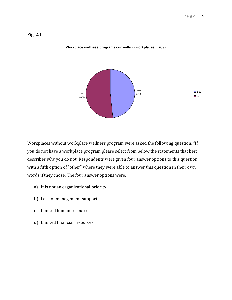



Workplaces without workplace wellness program were asked the following question, "If you do not have a workplace program please select from below the statements that best describes why you do not. Respondents were given four answer options to this question with a fifth option of "other" where they were able to answer this question in their own words if they chose. The four answer options were:

- a) It is not an organizational priority
- b) Lack of management support
- c) Limited human resources
- d) Limited financial resources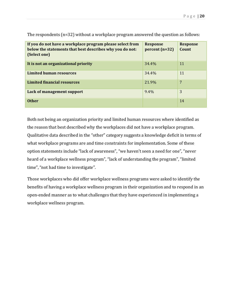| If you do not have a workplace program please select from<br>below the statements that best describes why you do not:<br>(Select one) | <b>Response</b><br>$percent(n=32)$ | <b>Response</b><br>Count |
|---------------------------------------------------------------------------------------------------------------------------------------|------------------------------------|--------------------------|
| It is not an organizational priority                                                                                                  | 34.4%                              | 11                       |
| <b>Limited human resources</b>                                                                                                        | 34.4%                              | 11                       |
| <b>Limited financial resources</b>                                                                                                    | 21.9%                              | 7                        |
| Lack of management support                                                                                                            | $9.4\%$                            | 3                        |
| <b>Other</b>                                                                                                                          |                                    | 14                       |

The respondents (n=32) without a workplace program answered the question as follows:

Both not being an organization priority and limited human resources where identified as the reason that best described why the workplaces did not have a workplace program. Qualitative data described in the "other" category suggests a knowledge deficit in terms of what workplace programs are and time constraints for implementation. Some of these option statements include "lack of awareness", "we haven't seen a need for one", "never heard of a workplace wellness program", "lack of understanding the program", "limited time", "not had time to investigate".

Those workplaces who did offer workplace wellness programs were asked to identify the benefits of having a workplace wellness program in their organization and to respond in an open-ended manner as to what challenges that they have experienced in implementing a workplace wellness program.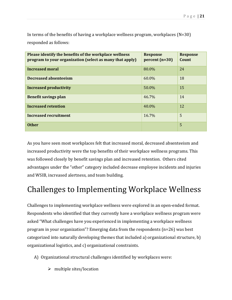In terms of the benefits of having a workplace wellness program, workplaces (N=30) responded as follows:

| Please identify the benefits of the workplace wellness<br>program to your organization (select as many that apply) | <b>Response</b><br>$percent(n=30)$ | <b>Response</b><br>Count |
|--------------------------------------------------------------------------------------------------------------------|------------------------------------|--------------------------|
| <b>Increased moral</b>                                                                                             | 80.0%                              | 24                       |
| Decreased absenteeism                                                                                              | 60.0%                              | 18                       |
| <b>Increased productivity</b>                                                                                      | 50.0%                              | 15                       |
| <b>Benefit savings plan</b>                                                                                        | 46.7%                              | 14                       |
| <b>Increased retention</b>                                                                                         | 40.0%                              | 12                       |
| Increased recruitment                                                                                              | 16.7%                              | 5                        |
| <b>Other</b>                                                                                                       |                                    | 5                        |

As you have seen most workplaces felt that increased moral, decreased absenteeism and increased productivity were the top benefits of their workplace wellness programs. This was followed closely by benefit savings plan and increased retention. Others cited advantages under the "other" category included decrease employee incidents and injuries and WSIB, increased alertness, and team building.

### Challenges to Implementing Workplace Wellness

Challenges to implementing workplace wellness were explored in an open-ended format. Respondents who identified that they currently have a workplace wellness program were asked "What challenges have you experienced in implementing a workplace wellness program in your organization"? Emerging data from the respondents (n=26) was best categorized into naturally developing themes that included a) organizational structure, b) organizational logistics, and c) organizational constraints.

- A) Organizational structural challenges identified by workplaces were:
	- $\triangleright$  multiple sites/location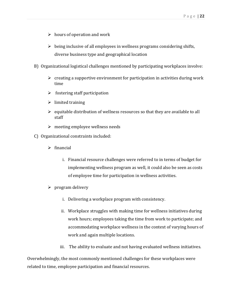- $\triangleright$  hours of operation and work
- $\triangleright$  being inclusive of all employees in wellness programs considering shifts, diverse business type and geographical location
- B) Organizational logistical challenges mentioned by participating workplaces involve:
	- $\triangleright$  creating a supportive environment for participation in activities during work time
	- $\triangleright$  fostering staff participation
	- $\triangleright$  limited training
	- $\triangleright$  equitable distribution of wellness resources so that they are available to all staff
	- $\triangleright$  meeting employee wellness needs
- C) Organizational constraints included:
	- $\triangleright$  financial
		- i. Financial resource challenges were referred to in terms of budget for implementing wellness program as well, it could also be seen as costs of employee time for participation in wellness activities.
	- $\triangleright$  program delivery
		- i. Delivering a workplace program with consistency.
		- ii. Workplace struggles with making time for wellness initiatives during work hours; employees taking the time from work to participate; and accommodating workplace wellness in the context of varying hours of work and again multiple locations.
		- iii. The ability to evaluate and not having evaluated wellness initiatives.

Overwhelmingly, the most commonly mentioned challenges for these workplaces were related to time, employee participation and financial resources.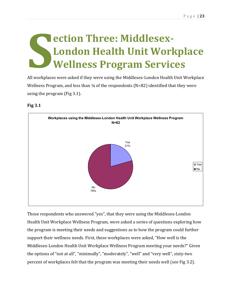## **ection Three: Middlesex-London Health Unit Workplace Wellness Program Services S CONSERVENT CONTROLLED M**

All workplaces were asked if they were using the Middlesex-London Health Unit Workplace Wellness Program, and less than  $\frac{1}{4}$  of the respondents (N=82) identified that they were using the program (Fig 3.1).

#### **Fig 3.1**



Those respondents who answered "yes", that they were using the Middlesex-London Health Unit Workplace Wellness Program, were asked a series of questions exploring how the program is meeting their needs and suggestions as to how the program could further support their wellness needs. First, these workplaces were asked, "How well is the Middlesex-London Health Unit Workplace Wellness Program meeting your needs?" Given the options of "not at all", "minimally", "moderately", "well" and "very well", sixty-two percent of workplaces felt that the program was meeting their needs well (see Fig 3.2).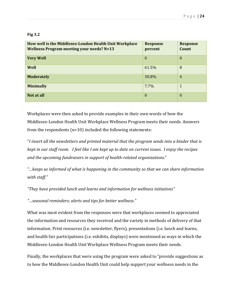#### **Fig 3.2**

| How well is the Middlesex-London Health Unit Workplace<br><b>Wellness Program meeting your needs? N=13</b> | <b>Response</b><br>percent | <b>Response</b><br>Count |
|------------------------------------------------------------------------------------------------------------|----------------------------|--------------------------|
| <b>Very Well</b>                                                                                           | $\theta$                   | $\theta$                 |
| Well                                                                                                       | 61.5%                      | 8                        |
| <b>Moderately</b>                                                                                          | 30.8%                      | $\overline{4}$           |
| <b>Minimally</b>                                                                                           | 7.7%                       | $\mathbf{1}$             |
| Not at all                                                                                                 | $\theta$                   | $\theta$                 |

Workplaces were then asked to provide examples in their own words of how the Middlesex-London Health Unit Workplace Wellness Program meets their needs. Answers from the respondents (n=10) included the following statements:

"*I insert all the newsletters and printed material that the program sends into a binder that is kept in our staff room. I feel like I am kept up to date on current issues. I enjoy the recipes and the upcoming fundraisers in support of health-related organizations*."

*"…keeps us informed of what is happening in the community so that we can share information with staff."* 

*"They have provided lunch and learns and information for wellness initiatives"* 

*"…seasonal reminders; alerts and tips for better wellness."* 

What was most evident from the responses were that workplaces seemed to appreciated the information and resources they received and the variety in methods of delivery of that information. Print resources (i.e. newsletter, flyers), presentations (i.e. lunch and learns, and health fair participations (i.e. exhibits, displays) were mentioned as ways in which the Middlesex-London Health Unit Workplace Wellness Program meets their needs.

Finally, the workplaces that were using the program were asked to "provide suggestions as to how the Middlesex-London Health Unit could help support your wellness needs in the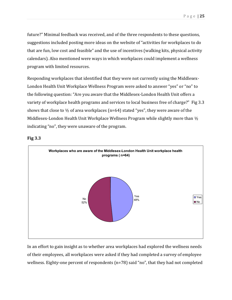future?" Minimal feedback was received, and of the three respondents to these questions, suggestions included posting more ideas on the website of "activities for workplaces to do that are fun, low cost and feasible" and the use of incentives (walking kits, physical activity calendars). Also mentioned were ways in which workplaces could implement a wellness program with limited resources.

Responding workplaces that identified that they were not currently using the Middlesex-London Health Unit Workplace Wellness Program were asked to answer "yes" or "no" to the following question: "Are you aware that the Middlesex-London Health Unit offers a variety of workplace health programs and services to local business free of charge?" Fig 3.3 shows that close to  $\frac{1}{2}$  of area workplaces (n=64) stated "yes", they were aware of the Middlesex-London Health Unit Workplace Wellness Program while slightly more than  $\frac{1}{2}$ indicating "no", they were unaware of the program.



#### **Fig 3.3**

In an effort to gain insight as to whether area workplaces had explored the wellness needs of their employees, all workplaces were asked if they had completed a survey of employee wellness. Eighty-one percent of respondents (n=78) said "no", that they had not completed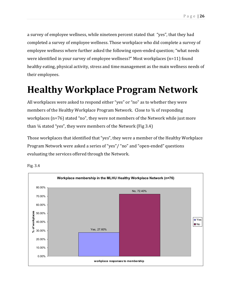a survey of employee wellness, while nineteen percent stated that "yes", that they had completed a survey of employee wellness. Those workplace who did complete a survey of employee wellness where further asked the following open-ended question; "what needs were identified in your survey of employee wellness?" Most workplaces (n=11) found healthy eating, physical activity, stress and time management as the main wellness needs of their employees.

### **Healthy Workplace Program Network**

All workplaces were asked to respond either "yes" or "no" as to whether they were members of the Healthy Workplace Program Network. Close to 34 of responding workplaces (n=76) stated "no", they were not members of the Network while just more than  $\frac{1}{4}$  stated "yes", they were members of the Network (Fig 3.4)

Those workplaces that identified that "yes", they were a member of the Healthy Workplace Program Network were asked a series of "yes"/ "no" and "open-ended" questions evaluating the services offered through the Network.



Fig. 3.4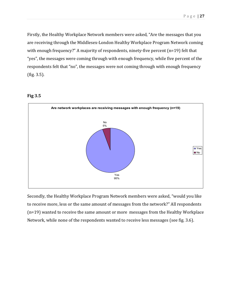Firstly, the Healthy Workplace Network members were asked, "Are the messages that you are receiving through the Middlesex-London Healthy Workplace Program Network coming with enough frequency?" A majority of respondents, ninety-five percent (n=19) felt that "yes", the messages were coming through with enough frequency, while five percent of the respondents felt that "no", the messages were not coming through with enough frequency (fig. 3.5).





Secondly, the Healthy Workplace Program Network members were asked, "would you like to receive more, less or the same amount of messages from the network?" All respondents (n=19) wanted to receive the same amount or more messages from the Healthy Workplace Network, while none of the respondents wanted to receive less messages (see fig. 3.6).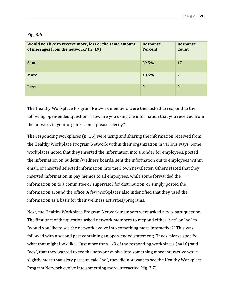| ٧<br>٠ |  |  |
|--------|--|--|
|--------|--|--|

| Would you like to receive more, less or the same amount<br>of messages from the network? (n=19) | <b>Response</b><br>Percent | <b>Response</b><br>Count |
|-------------------------------------------------------------------------------------------------|----------------------------|--------------------------|
| <b>Same</b>                                                                                     | 89.5%                      | 17                       |
| <b>More</b>                                                                                     | 10.5%                      | 2                        |
| <b>Less</b>                                                                                     | $\theta$                   | $\Omega$                 |

The Healthy Workplace Program Network members were then asked to respond to the following open-ended question: "How are you using the information that you received from the network in your organization—please specify?"

The responding workplaces (n=16) were using and sharing the information received from the Healthy Workplace Program Network within their organization in various ways. Some workplaces noted that they inserted the information into a binder for employees, posted the information on bulletin/wellness boards, sent the information out to employees within email, or inserted selected information into their own newsletter. Others stated that they inserted information in pay memos to all employees, while some forwarded the information on to a committee or supervisor for distribution, or simply posted the information around the office. A few workplaces also indentified that they used the information as a basis for their wellness activities/programs.

Next, the Healthy Workplace Program Network members were asked a two-part question. The first part of the question asked network members to respond either "yes" or "no" to "would you like to see the network evolve into something more interactive?" This was followed with a second part containing an open-ended statement; "If yes, please specify what that might look like." Just more than  $1/3$  of the responding workplaces (n=16) said "yes", that they wanted to see the network evolve into something more interactive while slightly more than sixty percent said "no", they did not want to see the Healthy Workplace Program Network evolve into something more interactive (fig. 3.7).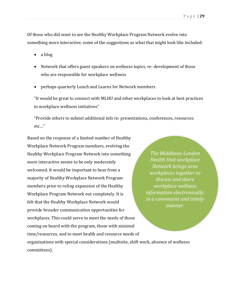Of those who did want to see the Healthy Workplace Program Network evolve into something more interactive, some of the suggestions as what that might look like included:

- a blog
- Network that offers guest speakers on wellness topics, re: development of those who are responsible for workplace wellness
- perhaps quarterly Lunch and Learns for Network members

"It would be great to connect with MLHU and other workplaces to look at best practices in workplace wellness initiatives"

"Provide others to submit additional info re: presentations, conferences, resources etc…"

Based on the response of a limited number of Healthy Workplace Network Program members, evolving the Healthy Workplace Program Network into something more interactive seems to be only moderately welcomed. It would be important to hear from a majority of Healthy Workplace Network Program members prior to ruling expansion of the Healthy Workplace Program Network out completely. It is felt that the Healthy Workplace Network would provide broader communication opportunities for workplaces. This could serve to meet the needs of those coming on board with the program, those with minimal time/resources, and to meet health and resource needs of

*The Middlesex-London Health Unit workplace Network brings area workplaces together to discuss and share workplace wellness information electronically, in a convenient and timely manner.* 

organizations with special considerations (multisite, shift work, absence of wellness committees).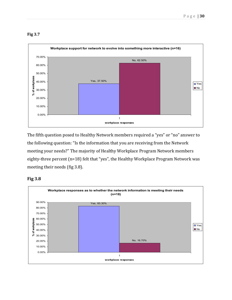

**Fig 3.7**

The fifth question posed to Healthy Network members required a "yes" or "no" answer to the following question: "Is the information that you are receiving from the Network meeting your needs?" The majority of Healthy Workplace Program Network members eighty-three percent (n=18) felt that "yes", the Healthy Workplace Program Network was meeting their needs (fig 3.8).



#### **Fig 3.8**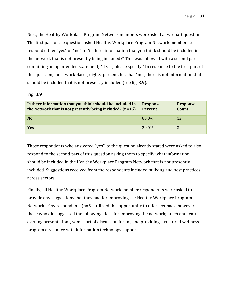Next, the Healthy Workplace Program Network members were asked a two-part question. The first part of the question asked Healthy Workplace Program Network members to respond either "yes" or "no" to "is there information that you think should be included in the network that is not presently being included?" This was followed with a second part containing an open-ended statement; "If yes, please specify." In response to the first part of this question, most workplaces, eighty-percent, felt that "no", there is not information that should be included that is not presently included (see fig. 3.9).

#### **Fig. 3.9**

| Is there information that you think should be included in<br>the Network that is not presently being included? (n=15) | <b>Response</b><br>Percent | <b>Response</b><br>Count |
|-----------------------------------------------------------------------------------------------------------------------|----------------------------|--------------------------|
| N <sub>o</sub>                                                                                                        | 80.0%                      | 12                       |
| <b>Yes</b>                                                                                                            | 20.0%                      | 3                        |

Those respondents who answered "yes", to the question already stated were asked to also respond to the second part of this question asking them to specify what information should be included in the Healthy Workplace Program Network that is not presently included. Suggestions received from the respondents included bullying and best practices across sectors.

Finally, all Healthy Workplace Program Network member respondents were asked to provide any suggestions that they had for improving the Healthy Workplace Program Network. Few respondents (n=5) utilized this opportunity to offer feedback, however those who did suggested the following ideas for improving the network; lunch and learns, evening presentations, some sort of discussion forum, and providing structured wellness program assistance with information technology support.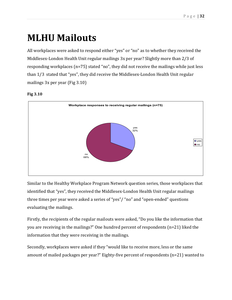### **MLHU Mailouts**

All workplaces were asked to respond either "yes" or "no" as to whether they received the Middlesex-London Health Unit regular mailings 3x per year? Slightly more than 2/3 of responding workplaces (n=75) stated "no", they did not receive the mailings while just less than 1/3 stated that "yes", they did receive the Middlesex-London Health Unit regular mailings 3x per year (Fig 3.10)





Similar to the Healthy Workplace Program Network question series, those workplaces that identified that "yes", they received the Middlesex-London Health Unit regular mailings three times per year were asked a series of "yes"/ "no" and "open-ended" questions evaluating the mailings.

Firstly, the recipients of the regular mailouts were asked, "Do you like the information that you are receiving in the mailings?" One hundred percent of respondents (n=21) liked the information that they were receiving in the mailings.

Secondly, workplaces were asked if they "would like to receive more, less or the same amount of mailed packages per year?" Eighty-five percent of respondents (n=21) wanted to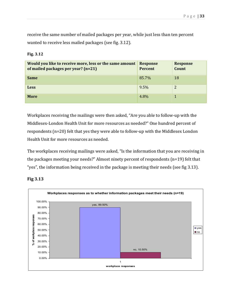receive the same number of mailed packages per year, while just less than ten percent wanted to receive less mailed packages (see fig. 3.12).

#### **Fig. 3.12**

| Would you like to receive more, less or the same amount<br>of mailed packages per year? (n=21) | <b>Response</b><br>Percent | <b>Response</b><br>Count |
|------------------------------------------------------------------------------------------------|----------------------------|--------------------------|
| <b>Same</b>                                                                                    | 85.7%                      | 18                       |
| <b>Less</b>                                                                                    | 9.5%                       | 2                        |
| <b>More</b>                                                                                    | 4.8%                       |                          |

Workplaces receiving the mailings were then asked, "Are you able to follow-up with the Middlesex-London Health Unit for more resources as needed?" One hundred percent of respondents (n=20) felt that yes they were able to follow-up with the Middlesex London Health Unit for more resources as needed.

The workplaces receiving mailings were asked, "Is the information that you are receiving in the packages meeting your needs?" Almost ninety percent of respondents (n=19) felt that "yes", the information being received in the package is meeting their needs (see fig 3.13).



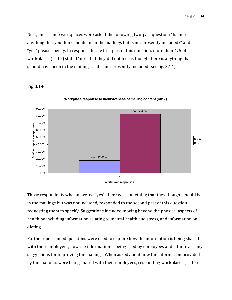Next, these same workplaces were asked the following two-part question; "Is there anything that you think should be in the mailings but is not presently included?" and if "yes" please specify. In response to the first part of this question, more than 4/5 of workplaces (n=17) stated "no", that they did not feel as though there is anything that should have been in the mailings that is not presently included (see fig. 3.14).



#### **Fig 3.14**

Those respondents who answered "yes", there was something that they thought should be in the mailings but was not included, responded to the second part of this question requesting them to specify. Suggestions included moving beyond the physical aspects of health by including information relating to mental health and stress, and information on dieting.

Further open-ended questions were used to explore how the information is being shared with their employees, how the information is being used by employees and if there are any suggestions for improving the mailings. When asked about how the information provided by the mailouts were being shared with their employees, responding workplaces (n=17)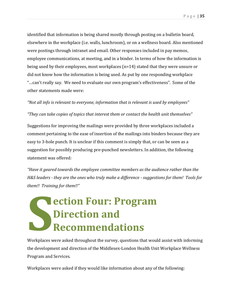identified that information is being shared mostly through posting on a bulletin board, elsewhere in the workplace (i.e. walls, lunchroom), or on a wellness board. Also mentioned were postings through intranet and email. Other responses included in pay memos, employee communications, at meeting, and in a binder. In terms of how the information is being used by their employees, most workplaces (n=14) stated that they were unsure or did not know how the information is being used. As put by one responding workplace "…can't really say. We need to evaluate our own program's effectiveness". Some of the other statements made were:

*"Not all info is relevant to everyone, information that is relevant is used by employees"* 

*"They can take copies of topics that interest them or contact the health unit themselves"* 

Suggestions for improving the mailings were provided by three workplaces included a comment pertaining to the ease of insertion of the mailings into binders because they are easy to 3-hole punch. It is unclear if this comment is simply that, or can be seen as a suggestion for possibly producing pre-punched newsletters. In addition, the following statement was offered:

*"Have it geared towards the employee committee members as the audience rather than the H&S leaders - they are the ones who truly make a difference - suggestions for them! Tools for them!! Training for them!!"* 

## **ection Four: Program Direction and Recommendations S CONSERVERY CONTROLLER**

Workplaces were asked throughout the survey, questions that would assist with informing the development and direction of the Middlesex-London Health Unit Workplace Wellness Program and Services.

Workplaces were asked if they would like information about any of the following: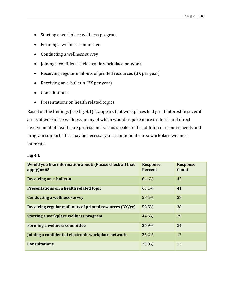- Starting a workplace wellness program
- Forming a wellness committee
- Conducting a wellness survey
- Joining a confidential electronic workplace network
- Receiving regular mailouts of printed resources (3X per year)
- Receiving an e-bulletin (3X per year)
- Consultations
- Presentations on health related topics

Based on the findings (see fig. 4.1) it appears that workplaces had great interest in several areas of workplace wellness, many of which would require more in-depth and direct involvement of healthcare professionals. This speaks to the additional resource needs and program supports that may be necessary to accommodate area workplace wellness interests.

|--|--|--|

| Would you like information about: (Please check all that<br>$apply$ )n=65 | <b>Response</b><br><b>Percent</b> | <b>Response</b><br><b>Count</b> |
|---------------------------------------------------------------------------|-----------------------------------|---------------------------------|
| <b>Receiving an e-bulletin</b>                                            | 64.6%                             | 42                              |
| Presentations on a health related topic                                   | 63.1%                             | 41                              |
| <b>Conducting a wellness survey</b>                                       | 58.5%                             | 38                              |
| Receiving regular mail-outs of printed resources (3X/yr)                  | 58.5%                             | 38                              |
| <b>Starting a workplace wellness program</b>                              | 44.6%                             | 29                              |
| Forming a wellness committee                                              | 36.9%                             | 24                              |
| Joining a confidential electronic workplace network                       | 26.2%                             | 17                              |
| <b>Consultations</b>                                                      | 20.0%                             | 13                              |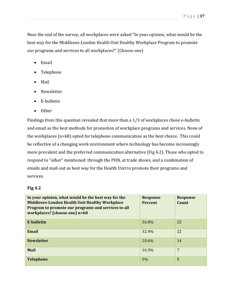Near the end of the survey, all workplaces were asked "In your opinion, what would be the best way for the Middlesex-London Health Unit Healthy Workplace Program to promote our programs and services to all workplaces?" (Choose one)

- Email
- Telephone
- $\bullet$ Mail
- Newsletter
- -E-bulletin
- $\bullet$ **Other**

Findings from this question revealed that more than a 1/3 of workplaces chose e-bulletin and email as the best methods for promotion of workplace programs and services. None of the workplaces (n=68) opted for telephone communication as the best choice. This could be reflective of a changing work environment where technology has become increasingly more prevalent and the preferred communication alternative (Fig 4.2). Those who opted to respond to "other" mentioned: through the PHN, at trade shows, and a combination of emails and mail-out as best way for the Health Unit to promote their programs and services.

#### **Fig 4.2**

| In your opinion, what would be the best way for the<br><b>Middlesex-London Health Unit Healthy Workplace</b><br>Program to promote our programs and services to all<br>workplaces? (choose one) n=68 | <b>Response</b><br><b>Percent</b> | <b>Response</b><br>Count |
|------------------------------------------------------------------------------------------------------------------------------------------------------------------------------------------------------|-----------------------------------|--------------------------|
| E-bulletin                                                                                                                                                                                           | 36.8%                             | 25                       |
| Email                                                                                                                                                                                                | 32.4%                             | 22                       |
| <b>Newsletter</b>                                                                                                                                                                                    | 20.6%                             | 14                       |
| Mail                                                                                                                                                                                                 | 10.3%                             | $7\phantom{.0}$          |
| <b>Telephone</b>                                                                                                                                                                                     | 0%                                | $\Omega$                 |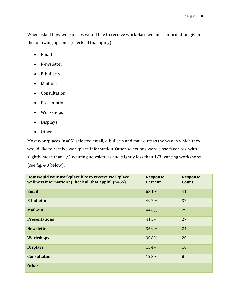When asked how workplaces would like to receive workplace wellness information given the following options: (check all that apply)

- Email
- Newsletter
- E-bulletin
- Mail-out
- Consultation
- Presentation
- Workshops
- $\bullet$ Displays
- $\bullet$ **Other**

Most workplaces (n=65) selected email, e-bulletin and mail-outs as the way in which they would like to receive workplace information. Other selections were close favorites, with slightly more than 1/3 wanting newsletters and slightly less than 1/3 wanting workshops (see fig. 4.3 below).

| How would your workplace like to receive workplace<br>wellness information? (Check all that apply) (n=65) | <b>Response</b><br><b>Percent</b> | <b>Response</b><br>Count |
|-----------------------------------------------------------------------------------------------------------|-----------------------------------|--------------------------|
| <b>Email</b>                                                                                              | 63.1%                             | 41                       |
| <b>E-bulletin</b>                                                                                         | 49.2%                             | 32                       |
| <b>Mail-out</b>                                                                                           | 44.6%                             | 29                       |
| <b>Presentations</b>                                                                                      | 41.5%                             | 27                       |
| <b>Newsletter</b>                                                                                         | 36.9%                             | 24                       |
| <b>Workshops</b>                                                                                          | 30.8%                             | 20                       |
| <b>Displays</b>                                                                                           | 15.4%                             | 10                       |
| <b>Consultation</b>                                                                                       | 12.3%                             | 8                        |
| <b>Other</b>                                                                                              |                                   | $\mathbf{1}$             |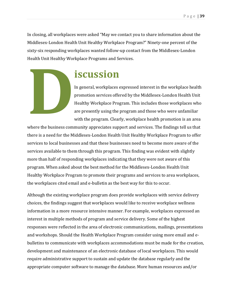In closing, all workplaces were asked "May we contact you to share information about the Middlesex-London Health Unit Healthy Workplace Program?" Ninety-one percent of the sixty-six responding workplaces wanted follow-up contact from the Middlesex-London Health Unit Healthy Workplace Programs and Services.

### **iscussion**

In general, workplaces expressed interest in the workplace health promotion services offered by the Middlesex-London Health Unit Healthy Workplace Program. This includes those workplaces who are presently using the program and those who were unfamiliar with the program. Clearly, workplace health promotion is an area

where the business community appreciates support and services. The findings tell us that there is a need for the Middlesex-London Health Unit Healthy Workplace Program to offer services to local businesses and that these businesses need to become more aware of the services available to them through this program. This finding was evident with slightly more than half of responding workplaces indicating that they were not aware of this program. When asked about the best method for the Middlesex-London Health Unit Healthy Workplace Program to promote their programs and services to area workplaces, the workplaces cited email and e-bulletin as the best way for this to occur. **D**<br>
Where the business comp

Although the existing workplace program does provide workplaces with service delivery choices, the findings suggest that workplaces would like to receive workplace wellness information in a more resource intensive manner. For example, workplaces expressed an interest in multiple methods of program and service delivery. Some of the highest responses were reflected in the area of electronic communications, mailings, presentations and workshops. Should the Health Workplace Program consider using more email and ebulletins to communicate with workplaces accommodations must be made for the creation, development and maintenance of an electronic database of local workplaces. This would require administrative support to sustain and update the database regularly and the appropriate computer software to manage the database. More human resources and/or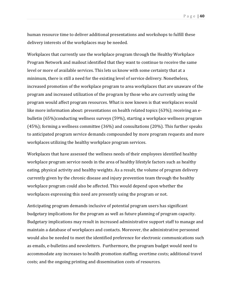human resource time to deliver additional presentations and workshops to fulfill these delivery interests of the workplaces may be needed.

Workplaces that currently use the workplace program through the Healthy Workplace Program Network and mailout identified that they want to continue to receive the same level or more of available services. This lets us know with some certainty that at a minimum, there is still a need for the existing level of service delivery. Nonetheless, increased promotion of the workplace program to area workplaces that are unaware of the program and increased utilization of the program by those who are currently using the program would affect program resources. What is now known is that workplaces would like more information about: presentations on health related topics (63%); receiving an ebulletin (65%)conducting wellness surveys (59%), starting a workplace wellness program (45%); forming a wellness committee (36%) and consultations (20%). This further speaks to anticipated program service demands compounded by more program requests and more workplaces utilizing the healthy workplace program services.

Workplaces that have assessed the wellness needs of their employees identified healthy workplace program service needs in the area of healthy lifestyle factors such as healthy eating, physical activity and healthy weights. As a result, the volume of program delivery currently given by the chronic disease and injury prevention team through the healthy workplace program could also be affected. This would depend upon whether the workplaces expressing this need are presently using the program or not.

Anticipating program demands inclusive of potential program users has significant budgetary implications for the program as well as future planning of program capacity. Budgetary implications may result in increased administrative support staff to manage and maintain a database of workplaces and contacts. Moreover, the administrative personnel would also be needed to meet the identified preference for electronic communications such as emails, e-bulletins and newsletters. Furthermore, the program budget would need to accommodate any increases to health promotion staffing; overtime costs; additional travel costs; and the ongoing printing and dissemination costs of resources.

Page | **40**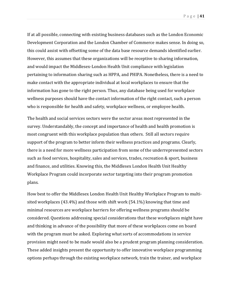If at all possible, connecting with existing business databases such as the London Economic Development Corporation and the London Chamber of Commerce makes sense. In doing so, this could assist with offsetting some of the data base resource demands identified earlier. However, this assumes that these organizations will be receptive to sharing information, and would impact the Middlesex-London Health Unit compliance with legislation pertaining to information sharing such as HPPA, and PHIPA. Nonetheless, there is a need to make contact with the appropriate individual at local workplaces to ensure that the information has gone to the right person. Thus, any database being used for workplace

wellness purposes should have the contact information of the right contact, such a person who is responsible for health and safety, workplace wellness, or employee health.

The health and social services sectors were the sector areas most represented in the survey. Understandably, the concept and importance of health and health promotion is most congruent with this workplace population than others. Still all sectors require support of the program to better inform their wellness practices and programs. Clearly, there is a need for more wellness participation from some of the underrepresented sectors such as food services, hospitality, sales and services, trades, recreation & sport, business and finance, and utilities. Knowing this, the Middlesex London Health Unit Healthy Workplace Program could incorporate sector targeting into their program promotion plans.

How best to offer the Middlesex London Health Unit Healthy Workplace Program to multisited workplaces (43.4%) and those with shift work (54.1%) knowing that time and minimal resources are workplace barriers for offering wellness programs should be considered. Questions addressing special considerations that these workplaces might have and thinking in advance of the possibility that more of these workplaces come on board with the program must be asked. Exploring what sorts of accommodations in service provision might need to be made would also be a prudent program planning consideration. These added insights present the opportunity to offer innovative workplace programming options perhaps through the existing workplace network, train the trainer, and workplace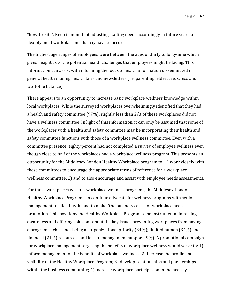Page | **42** 

"how-to-kits". Keep in mind that adjusting staffing needs accordingly in future years to flexibly meet workplace needs may have to occur.

The highest age ranges of employees were between the ages of thirty to forty-nine which gives insight as to the potential health challenges that employees might be facing. This information can assist with informing the focus of health information disseminated in general health mailing, health fairs and newsletters (i.e. parenting, eldercare, stress and work-life balance).

There appears to an opportunity to increase basic workplace wellness knowledge within local workplaces. While the surveyed workplaces overwhelmingly identified that they had a health and safety committee (97%), slightly less than 2/3 of these workplaces did not have a wellness committee. In light of this information, it can only be assumed that some of the workplaces with a health and safety committee may be incorporating their health and safety committee functions with those of a workplace wellness committee. Even with a committee presence, eighty percent had not completed a survey of employee wellness even though close to half of the workplaces had a workplace wellness program. This presents an opportunity for the Middlesex London Healthy Workplace program to: 1) work closely with these committees to encourage the appropriate terms of reference for a workplace wellness committee; 2) and to also encourage and assist with employee needs assessments.

For those workplaces without workplace wellness programs, the Middlesex-London Healthy Workplace Program can continue advocate for wellness programs with senior management to elicit buy-in and to make "the business case" for workplace health promotion. This positions the Healthy Workplace Program to be instrumental in raising awareness and offering solutions about the key issues preventing workplaces from having a program such as: not being an organizational priority (34%); limited human (34%) and financial (21%) resources; and lack of management support (9%). A promotional campaign for workplace management targeting the benefits of workplace wellness would serve to: 1) inform management of the benefits of workplace wellness; 2) increase the profile and visibility of the Healthy Workplace Program; 3) develop relationships and partnerships within the business community; 4) increase workplace participation in the healthy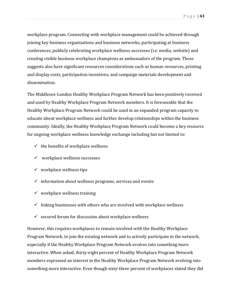workplace program. Connecting with workplace management could be achieved through joining key business organizations and business networks, participating at business conferences, publicly celebrating workplace wellness successes (i.e. media, website) and creating visible business workplace champions as ambassadors of the program. These suggests also have significant resources considerations such as human resources, printing and display costs, participation incentives, and campaign materials development and dissemination.

The Middlesex-London Healthy Workplace Program Network has been positively received and used by Healthy Workplace Program Network members. It is foreseeable that the Healthy Workplace Program Network could be used in an expanded program capacity to educate about workplace wellness and further develop relationships within the business community. Ideally, the Healthy Workplace Program Network could become a key resource for ongoing workplace wellness knowledge exchange including but not limited to:

- $\checkmark$  the benefits of workplace wellness
- $\checkmark$  workplace wellness successes
- $\checkmark$  workplace wellness tips
- $\checkmark$  information about wellness programs, services and events
- $\checkmark$  workplace wellness training
- $\checkmark$  linking businesses with others who are involved with workplace wellness
- $\checkmark$  secured forum for discussion about workplace wellness

However, this requires workplaces to remain involved with the Healthy Workplace Program Network, to join the existing network and to actively participate in the network, especially if the Healthy Workplace Program Network evolves into something more interactive. When asked, thirty-eight percent of Healthy Workplace Program Network members expressed an interest in the Healthy Workplace Program Network evolving into something more interactive. Even though sixty-three percent of workplaces stated they did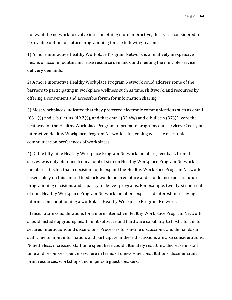not want the network to evolve into something more interactive, this is still considered to be a viable option for future programming for the following reasons:

1) A more interactive Healthy Workplace Program Network is a relatively inexpensive means of accommodating increase resource demands and meeting the multiple service delivery demands.

2) A more interactive Healthy Workplace Program Network could address some of the barriers to participating in workplace wellness such as time, shiftwork, and resources by offering a convenient and accessible forum for information sharing.

3) Most workplaces indicated that they preferred electronic communications such as email (63.1%) and e-bulletins (49.2%), and that email (32.4%) and e-bulletin (37%) were the best way for the Healthy Workplace Program to promote programs and services. Clearly an interactive Healthy Workplace Program Network is in keeping with the electronic communication preferences of workplaces.

4) Of the fifty-nine Healthy Workplace Program Network members, feedback from this survey was only obtained from a total of sixteen Healthy Workplace Program Network members. It is felt that a decision not to expand the Healthy Workplace Program Network based solely on this limited feedback would be premature and should incorporate future programming decisions and capacity to deliver programs. For example, twenty-six percent of non- Healthy Workplace Program Network members expressed interest in receiving information about joining a workplace Healthy Workplace Program Network.

 Hence, future considerations for a more interactive Healthy Workplace Program Network should include upgrading health unit software and hardware capability to host a forum for secured interactions and discussions. Processes for on-line discussions, and demands on staff time to input information, and participate in these discussions are also considerations. Nonetheless, increased staff time spent here could ultimately result in a decrease in staff time and resources spent elsewhere in terms of one-to-one consultations, disseminating print resources, workshops and in person guest speakers.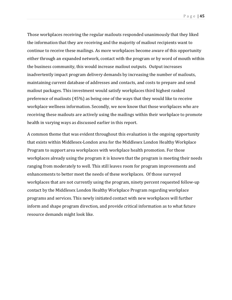Page | **45** 

Those workplaces receiving the regular mailouts responded unanimously that they liked the information that they are receiving and the majority of mailout recipients want to continue to receive these mailings. As more workplaces become aware of this opportunity either through an expanded network, contact with the program or by word of mouth within the business community, this would increase mailout outputs. Output increases inadvertently impact program delivery demands by increasing the number of mailouts, maintaining current database of addresses and contacts, and costs to prepare and send mailout packages. This investment would satisfy workplaces third highest ranked preference of mailouts (45%) as being one of the ways that they would like to receive workplace wellness information. Secondly, we now know that those workplaces who are receiving these mailouts are actively using the mailings within their workplace to promote health in varying ways as discussed earlier in this report.

A common theme that was evident throughout this evaluation is the ongoing opportunity that exists within Middlesex-London area for the Middlesex London Healthy Workplace Program to support area workplaces with workplace health promotion. For those workplaces already using the program it is known that the program is meeting their needs ranging from moderately to well. This still leaves room for program improvements and enhancements to better meet the needs of these workplaces. Of those surveyed workplaces that are not currently using the program, ninety percent requested follow-up contact by the Middlesex London Healthy Workplace Program regarding workplace programs and services. This newly initiated contact with new workplaces will further inform and shape program direction, and provide critical information as to what future resource demands might look like.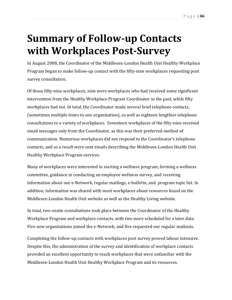## **Summary of Follow-up Contacts with Workplaces Post-Survey**

In August 2008, the Coordinator of the Middlesex-London Health Unit Healthy Workplace Program began to make follow-up contact with the fifty-nine workplaces requesting post survey consultation.

Of those fifty-nine workplaces, nine were workplaces who had received some significant intervention from the Healthy Workplace Program Coordinator in the past, while fifty workplaces had not. In total, the Coordinator made several brief telephone contacts, (sometimes multiple times to one organization), as well as eighteen lengthier telephone consultations to a variety of workplaces. Seventeen workplaces of the fifty-nine received email messages only from the Coordinator, as this was their preferred method of communication. Numerous workplaces did not respond to the Coordinator's telephone contacts, and as a result were sent emails describing the Middlesex-London Health Unit Healthy Workplace Program services.

Many of workplaces were interested in starting a wellness program, forming a wellness committee, guidance in conducting an employee wellness survey, and receiving information about our e-Network, regular mailings, e-bulletin, and program topic list. In addition, information was shared with most workplaces about resources found on the Middlesex-London Health Unit website as well as the Healthy Living website.

In total, two onsite consultations took place between the Coordinator of the Healthy Workplace Program and workplace contacts, with two more scheduled for a later date. Five new organizations joined the e-Network, and five requested our regular mailouts.

Completing the follow-up contacts with workplaces post survey proved labour intensive. Despite this, the administration of the survey and identification of workplace contacts provided an excellent opportunity to reach workplaces that were unfamiliar with the Middlesex-London Health Unit Healthy Workplace Program and its resources.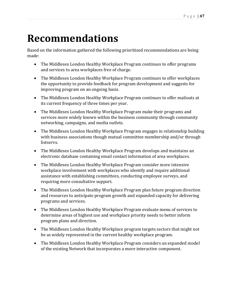## **Recommendations**

Based on the information gathered the following prioritized recommendations are being made:

- The Middlesex London Healthy Workplace Program continues to offer programs and services to area workplaces free of charge.
- The Middlesex London Healthy Workplace Program continues to offer workplaces the opportunity to provide feedback for program development and suggests for improving program on an ongoing basis.
- The Middlesex London Healthy Workplace Program continues to offer mailouts at its current frequency of three times per year.
- The Middlesex London Healthy Workplace Program make their programs and services more widely known within the business community through community networking, campaigns, and media outlets.
- The Middlesex London Healthy Workplace Program engages in relationship building with business associations though mutual committee membership and/or through listservs.
- The Middlesex London Healthy Workplace Program develops and maintains an electronic database containing email contact information of area workplaces.
- The Middlesex London Healthy Workplace Program consider more intensive workplace involvement with workplaces who identify and require additional assistance with establishing committees, conducting employee surveys, and requiring more consultative support.
- The Middlesex London Healthy Workplace Program plan future program direction and resources to anticipate program growth and expanded capacity for delivering programs and services.
- The Middlesex London Healthy Workplace Program evaluate menu of services to determine areas of highest use and workplace priority needs to better inform program plans and direction.
- The Middlesex London Healthy Workplace program targets sectors that might not be as widely represented in the current healthy workplace program.
- The Middlesex London Healthy Workplace Program considers an expanded model of the existing Network that incorporates a more interactive component.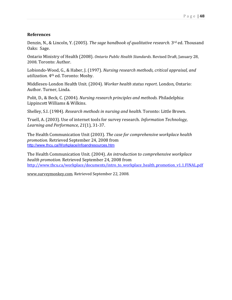#### **References**

Denzin, N., & Lincoln, Y. (2005). *The sage handbook of qualitative research.* 3rd ed. Thousand Oaks: Sage.

Ontario Ministry of Health (2008). *Ontario Public Health Standards*. Revised Draft, January 28, 2008. Toronto: Author.

Lobiondo-Wood, G., & Haber, J. (1997). *Nursing research methods, critical appraisal, and utilization.* 4th ed. Toronto: Mosby.

Middlesex-London Health Unit. (2004). *Worker health status report*. London, Ontario: Author. Turner, Linda.

Polit, D., & Beck, C. (2004). *Nursing research principles and methods.* Philadelphia: Lippincott Williams & Wilkins.

Shelley, S.I. (1984). *Research methods in nursing and health.* Toronto: Little Brown.

Truell, A. (2003). Use of internet tools for survey research. *Information Technology, Learning and Performance, 21*(1), 31-37.

The Health Communication Unit (2003). *The case for comprehensive workplace health promotion.* Retrieved September 24, 2008 from http://www.thcu.ca/Workplace/infoandresources.htm

The Health Communication Unit. (2004). *An introduction to comprehensive workplace health promotion.* Retrieved September 24, 2008 from http://www.thcu.ca/workplace/documents/intro\_to\_workplace\_health\_promotion\_v1.1.FINAL.pdf

www.surveymonkey.com. Retrieved September 22, 2008.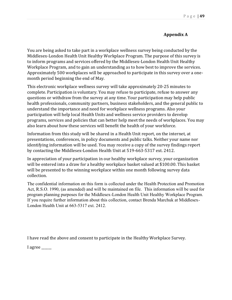#### **Appendix A**

You are being asked to take part in a workplace wellness survey being conducted by the Middlesex-London Health Unit Healthy Workplace Program. The purpose of this survey is to inform programs and services offered by the Middlesex-London Health Unit Healthy Workplace Program, and to gain an understanding as to how best to improve the services. Approximately 500 workplaces will be approached to participate in this survey over a onemonth period beginning the end of May.

This electronic workplace wellness survey will take approximately 20-25 minutes to complete. Participation is voluntary. You may refuse to participate, refuse to answer any questions or withdraw from the survey at any time. Your participation may help public health professionals, community partners, business stakeholders, and the general public to understand the importance and need for workplace wellness programs. Also your participation will help local Health Units and wellness service providers to develop programs, services and policies that can better help meet the needs of workplaces. You may also learn about how these services will benefit the health of your workforce.

Information from this study will be shared in a Health Unit report, on the internet, at presentations, conferences, in policy documents and public talks. Neither your name nor identifying information will be used. You may receive a copy of the survey findings report by contacting the Middlesex-London Health Unit at 519-663-5317 ext. 2412.

In appreciation of your participation in our healthy workplace survey, your organization will be entered into a draw for a healthy workplace basket valued at \$100.00. This basket will be presented to the winning workplace within one month following survey data collection.

The confidential information on this form is collected under the Health Protection and Promotion Act, R.S.O. 1990, (as amended) and will be maintained on file. This information will be used for program planning purposes for the Middlesex-London Health Unit Healthy Workplace Program. If you require further information about this collection, contact Brenda Marchuk at Middlesex-London Health Unit at 663-5317 ext. 2412.

I have read the above and consent to participate in the Healthy Workplace Survey.

I agree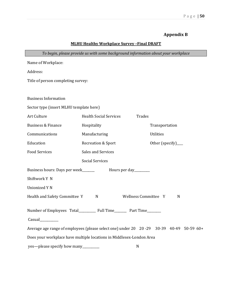#### Page | **50**

#### **Appendix B**

#### **MLHU Healthy Workplace Survey –Final DRAFT**

| To begin, please provide us with some background information about your workplace        |                                         |                     |  |  |
|------------------------------------------------------------------------------------------|-----------------------------------------|---------------------|--|--|
| Name of Workplace:                                                                       |                                         |                     |  |  |
| Address:                                                                                 |                                         |                     |  |  |
| Title of person completing survey:                                                       |                                         |                     |  |  |
|                                                                                          |                                         |                     |  |  |
| <b>Business Information</b>                                                              |                                         |                     |  |  |
| Sector type (insert MLHU template here)                                                  |                                         |                     |  |  |
| Art Culture                                                                              | <b>Health Social Services</b><br>Trades |                     |  |  |
| <b>Business &amp; Finance</b>                                                            | Hospitality                             | Transportation      |  |  |
| Communications                                                                           | Manufacturing                           | Utilities           |  |  |
| Education                                                                                | Recreation & Sport                      | Other (specify)____ |  |  |
| <b>Food Services</b>                                                                     | Sales and Services                      |                     |  |  |
|                                                                                          | <b>Social Services</b>                  |                     |  |  |
| Business hours: Days per week______                                                      | Hours per day_________                  |                     |  |  |
| Shiftwork Y N                                                                            |                                         |                     |  |  |
| <b>Unionized Y N</b>                                                                     |                                         |                     |  |  |
| Wellness Committee Y<br>Health and Safety Committee Y<br>$\mathbf N$<br>N                |                                         |                     |  |  |
|                                                                                          |                                         |                     |  |  |
| Number of Employees Total_____________ Full Time____________ Part Time__________         |                                         |                     |  |  |
| Casual__________                                                                         |                                         |                     |  |  |
| Average age range of employees (please select one) under 20 20 -29 30-39 40-49 50-59 60+ |                                         |                     |  |  |
| Does your workplace have multiple locations in Middlesex-London Area                     |                                         |                     |  |  |
| yes-please specify how many________<br>N                                                 |                                         |                     |  |  |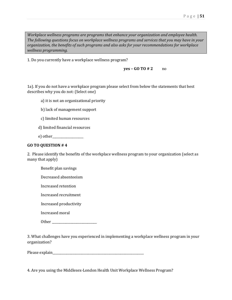*Workplace wellness programs are programs that enhance your organization and employee health. The following questions focus on workplace wellness programs and services that you may have in your organization, the benefits of such programs and also asks for your recommendations for workplace wellness programming.* 

1. Do you currently have a workplace wellness program?

**yes – GO TO # 2** no

1a). If you do not have a workplace program please select from below the statements that best describes why you do not: (Select one)

- a) it is not an organizational priority
- b) lack of management support
- c) limited human resources
- d) limited financial resources
- e) other

#### **GO TO QUESTION # 4**

2. Please identify the benefits of the workplace wellness program to your organization (select as many that apply)

- Benefit plan savings
- Decreased absenteeism
- Increased retention
- Increased recruitment
- Increased productivity
- Increased moral
- Other  $\Box$

3. What challenges have you experienced in implementing a workplace wellness program in your organization?

Please explain\_\_\_\_\_\_\_\_\_\_\_\_\_\_\_\_\_\_\_\_\_\_\_\_\_\_\_\_\_\_\_\_\_\_\_\_\_\_\_\_\_\_\_\_\_\_\_\_\_\_\_\_\_\_\_\_\_\_\_

4. Are you using the Middlesex-London Health Unit Workplace Wellness Program?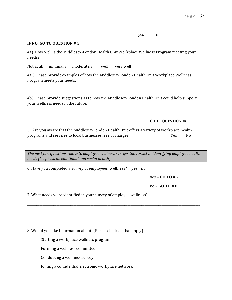| yes | $\mathbf{n}$ |
|-----|--------------|
|     |              |

#### **IF NO, GO TO QUESTION # 5**

4a) How well is the Middlesex-London Health Unit Workplace Wellness Program meeting your needs?

Not at all minimally moderately well very well

4ai) Please provide examples of how the Middlesex-London Health Unit Workplace Wellness Program meets your needs.

\_\_\_\_\_\_\_\_\_\_\_\_\_\_\_\_\_\_\_\_\_\_\_\_\_\_\_\_\_\_\_\_\_\_\_\_\_\_\_\_\_\_\_\_\_\_\_\_\_\_\_\_\_\_\_\_\_\_\_\_\_\_\_\_\_\_\_\_\_\_\_\_\_\_\_\_\_\_\_\_\_\_\_\_\_\_\_\_\_\_\_\_\_\_\_\_\_\_\_\_\_\_\_\_\_\_\_

4b) Please provide suggestions as to how the Middlesex-London Health Unit could help support your wellness needs in the future.

\_\_\_\_\_\_\_\_\_\_\_\_\_\_\_\_\_\_\_\_\_\_\_\_\_\_\_\_\_\_\_\_\_\_\_\_\_\_\_\_\_\_\_\_\_\_\_\_\_\_\_\_\_\_\_\_\_\_\_\_\_\_\_\_\_\_\_\_\_\_\_\_\_\_\_\_\_\_\_\_\_\_\_\_\_\_\_\_\_\_\_\_\_\_\_\_\_\_\_\_\_\_\_\_\_\_\_\_\_

GO TO QUESTION #6

5. Are you aware that the Middlesex-London Health Unit offers a variety of workplace health programs and services to local businesses free of charge? The Most Charge is the No

*The next few questions relate to employee wellness surveys that assist in identifying employee health needs (i.e. physical, emotional and social health)* 

\_\_\_\_\_\_\_\_\_\_\_\_\_\_\_\_\_\_\_\_\_\_\_\_\_\_\_\_\_\_\_\_\_\_\_\_\_\_\_\_\_\_\_\_\_\_\_\_\_\_\_\_\_\_\_\_\_\_\_\_\_\_\_\_\_\_\_\_\_\_\_\_\_\_\_\_\_\_\_\_\_\_\_\_\_\_\_\_\_\_\_\_\_\_\_\_\_\_\_\_\_\_\_\_\_\_\_\_\_\_\_\_

6. Have you completed a survey of employees' wellness? yes no

yes – **GO TO # 7**

no – **GO TO # 8**

7. What needs were identified in your survey of employee wellness?

8. Would you like information about: (Please check all that apply)

Starting a workplace wellness program

Forming a wellness committee

Conducting a wellness survey

Joining a confidential electronic workplace network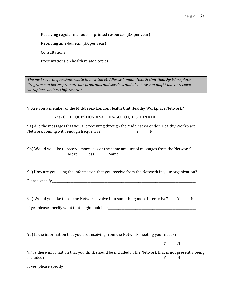Receiving regular mailouts of printed resources (3X per year)

Receiving an e-bulletin (3X per year)

Consultations

Presentations on health related topics

*The next several questions relate to how the Middlesex-London Health Unit Healthy Workplace Program can better promote our programs and services and also how you might like to receive workplace wellness information* 

9. Are you a member of the Middlesex-London Health Unit Healthy Workplace Network?

Yes- GO TO QUESTION # 9a No-GO TO QUESTION #10

9a) Are the messages that you are receiving through the Middlesex-London Healthy Workplace Network coming with enough frequency? Y N

9b) Would you like to receive more, less or the same amount of messages from the Network? More Less Same

9c) How are you using the information that you receive from the Network in your organization? Please specify\_\_\_\_\_\_\_\_\_\_\_\_\_\_\_\_\_\_\_\_\_\_\_\_\_\_\_\_\_\_\_\_\_\_\_\_\_\_\_\_\_\_\_\_\_\_\_\_\_\_\_\_\_\_\_\_\_\_\_\_\_\_\_\_\_\_\_\_\_\_\_\_\_\_\_\_\_\_\_\_\_\_\_\_\_\_\_\_\_\_\_\_\_

9d) Would you like to see the Network evolve into something more interactive?  $Y = N$ If yes please specify what that might look like\_\_\_\_\_\_\_\_\_\_\_\_\_\_\_\_\_\_\_\_\_\_\_\_\_\_\_\_\_\_\_\_\_\_

9e) Is the information that you are receiving from the Network meeting your needs?

Y N

| 9f) Is there information that you think should be included in the Network that is not presently being |  |  |
|-------------------------------------------------------------------------------------------------------|--|--|
| included?                                                                                             |  |  |

If yes, please specify\_\_\_\_\_\_\_\_\_\_\_\_\_\_\_\_\_\_\_\_\_\_\_\_\_\_\_\_\_\_\_\_\_\_\_\_\_\_\_\_\_\_\_\_\_\_\_\_\_\_\_\_\_\_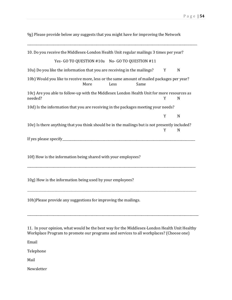9g) Please provide below any suggests that you might have for improving the Network

\_\_\_\_\_\_\_\_\_\_\_\_\_\_\_\_\_\_\_\_\_\_\_\_\_\_\_\_\_\_\_\_\_\_\_\_\_\_\_\_\_\_\_\_\_\_\_\_\_\_\_\_\_\_\_\_\_\_\_\_\_\_\_\_\_\_\_\_\_\_\_\_\_\_\_\_\_\_\_\_\_\_\_\_\_\_\_\_\_\_\_\_\_\_\_\_\_\_\_\_\_\_\_\_\_\_\_\_\_\_

| 10. Do you receive the Middlesex-London Health Unit regular mailings 3 times per year?                |      |      |      |   |   |
|-------------------------------------------------------------------------------------------------------|------|------|------|---|---|
| Yes- GO TO QUESTION #10a No- GO TO QUESTION #11                                                       |      |      |      |   |   |
| 10a) Do you like the information that you are receiving in the mailings?                              |      |      |      | Y | N |
| 10b) Would you like to receive more, less or the same amount of mailed packages per year?             | More | Less | Same |   |   |
| 10c) Are you able to follow-up with the Middlesex London Health Unit for more resources as<br>needed? |      |      |      | Y | N |
| 10d) Is the information that you are receiving in the packages meeting your needs?                    |      |      |      |   |   |
|                                                                                                       |      |      |      | Y | N |
| 10e) Is there anything that you think should be in the mailings but is not presently included?        |      |      |      | Y | N |
|                                                                                                       |      |      |      |   |   |
| 10f) How is the information being shared with your employees?                                         |      |      |      |   |   |
| 10g) How is the information being used by your employees?                                             |      |      |      |   |   |
| 10h)Please provide any suggestions for improving the mailings.                                        |      |      |      |   |   |
|                                                                                                       |      |      |      |   |   |

11. In your opinion, what would be the best way for the Middlesex-London Health Unit Healthy Workplace Program to promote our programs and services to all workplaces? (Choose one)

Email

Telephone

Mail

Newsletter